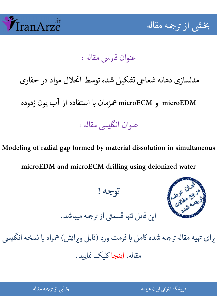

جمه مقاله شی از تر بخشی از :

عنوان فارسي مقاله :

مدلسازی دهانه شعاعی تشكيل شده توسط انحلال مواد در حفاری  $\ddot{\phantom{0}}$ 

microECM و microEDM Cزمان زدوده يون آب از استفاده D

֧֧֖֖֖֖֧֧֧֧֧֧֧֧֚֚֚֚֚֚֚֚֚֚֬֝֕֝֬֝֝֝֝֬֝֓֕֝֬֝֬֝֓֝֬֝֓֝֬֝֓֝֬֝֬֝֬֝֬֝֬ عنوان انگليسي مقاله :

Modeling of radial gap formed by material dissolution in simultaneous microEDM and microECM drilling using deionized water

توجه !



این فایل تنها قسمتی از ترجمه میباشد.

برای تهیه مقاله ترجمه شده کامل با فرمت ورد (قابل ویرایش) همراه با نسخه انگلیسی  $\overline{\phantom{a}}$ نسخه انگل ֦֘ مقاله، اينجا کليک نماييد.

شی از ترجمه <mark>مقال</mark>ه